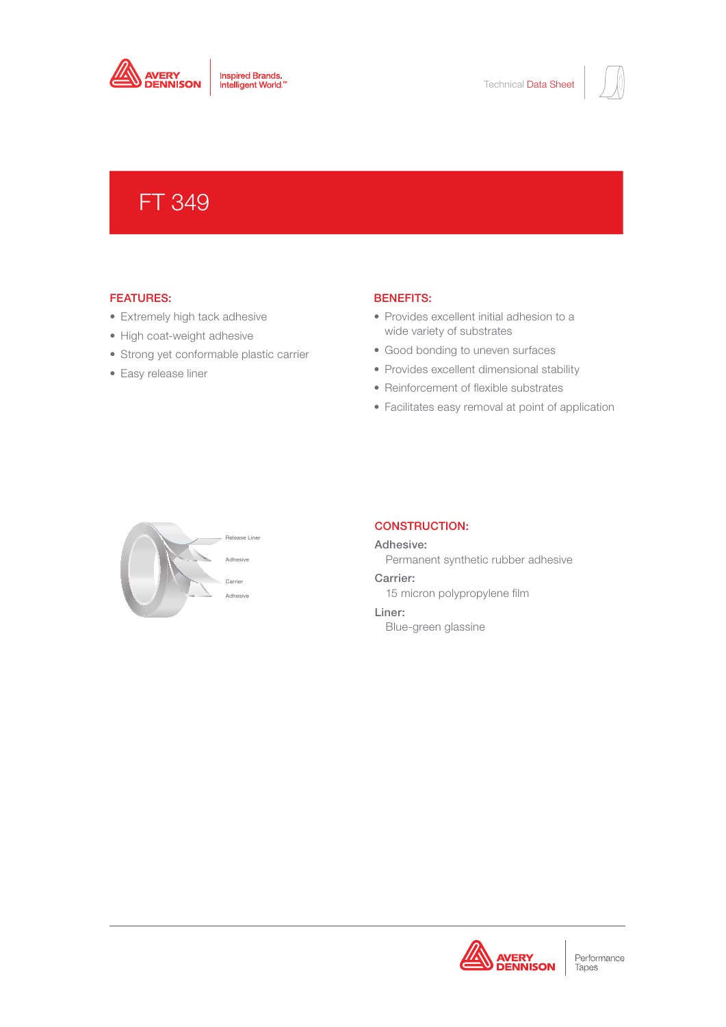

# FT 349

# FEATURES:

- Extremely high tack adhesive
- High coat-weight adhesive
- Strong yet conformable plastic carrier
- Easy release liner

## BENEFITS:

- Provides excellent initial adhesion to a wide variety of substrates
- Good bonding to uneven surfaces
- Provides excellent dimensional stability
- Reinforcement of flexible substrates
- Facilitates easy removal at point of application



# CONSTRUCTION:

Adhesive: Permanent synthetic rubber adhesive

Carrier: 15 micron polypropylene film Liner:

Blue-green glassine